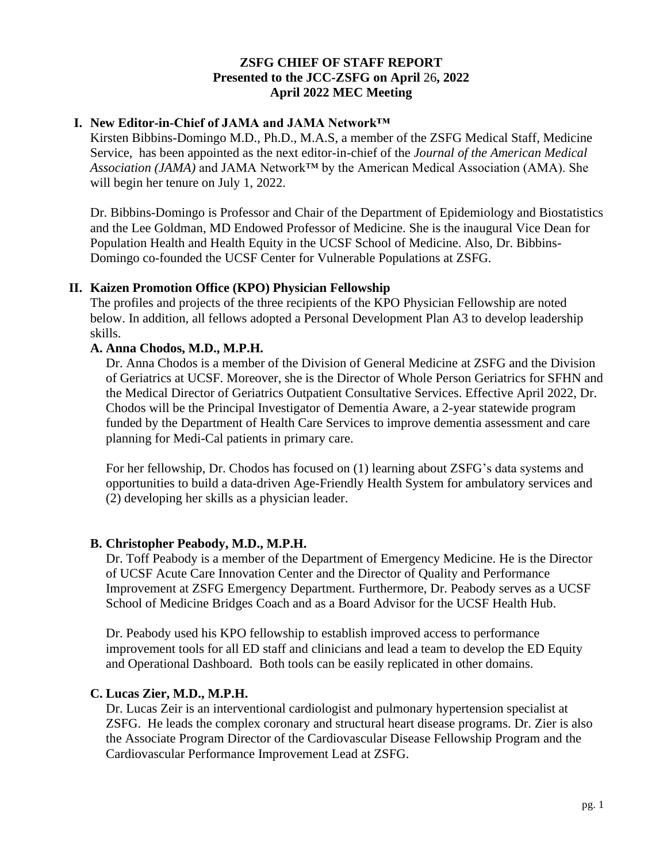### **ZSFG CHIEF OF STAFF REPORT Presented to the JCC-ZSFG on April** 26**, 2022 April 2022 MEC Meeting**

# **I. New Editor-in-Chief of JAMA and JAMA Network™**

Kirsten Bibbins-Domingo M.D., Ph.D., M.A.S, a member of the ZSFG Medical Staff, Medicine Service, has been appointed as the next editor-in-chief of the *Journal of the American Medical Association (JAMA)* and JAMA Network™ by the American Medical Association (AMA). She will begin her tenure on July 1, 2022.

Dr. Bibbins-Domingo is Professor and Chair of the Department of Epidemiology and Biostatistics and the Lee Goldman, MD Endowed Professor of Medicine. She is the inaugural Vice Dean for Population Health and Health Equity in the UCSF School of Medicine. Also, Dr. Bibbins-Domingo co-founded the UCSF Center for Vulnerable Populations at ZSFG.

## **II. Kaizen Promotion Office (KPO) Physician Fellowship**

The profiles and projects of the three recipients of the KPO Physician Fellowship are noted below. In addition, all fellows adopted a Personal Development Plan A3 to develop leadership skills.

## **A. Anna Chodos, M.D., M.P.H.**

Dr. Anna Chodos is a member of the Division of General Medicine at ZSFG and the Division of Geriatrics at UCSF. Moreover, she is the Director of Whole Person Geriatrics for SFHN and the Medical Director of Geriatrics Outpatient Consultative Services. Effective April 2022, Dr. Chodos will be the Principal Investigator of Dementia Aware, a 2-year statewide program funded by the Department of Health Care Services to improve dementia assessment and care planning for Medi-Cal patients in primary care.

For her fellowship, Dr. Chodos has focused on (1) learning about ZSFG's data systems and opportunities to build a data-driven Age-Friendly Health System for ambulatory services and (2) developing her skills as a physician leader.

## **B. Christopher Peabody, M.D., M.P.H.**

Dr. Toff Peabody is a member of the Department of Emergency Medicine. He is the Director of UCSF Acute Care Innovation Center and the Director of Quality and Performance Improvement at ZSFG Emergency Department. Furthermore, Dr. Peabody serves as a UCSF School of Medicine Bridges Coach and as a Board Advisor for the UCSF Health Hub.

Dr. Peabody used his KPO fellowship to establish improved access to performance improvement tools for all ED staff and clinicians and lead a team to develop the ED Equity and Operational Dashboard. Both tools can be easily replicated in other domains.

## **C. Lucas Zier, M.D., M.P.H.**

Dr. Lucas Zeir is an interventional cardiologist and pulmonary hypertension specialist at ZSFG. He leads the complex coronary and structural heart disease programs. Dr. Zier is also the Associate Program Director of the Cardiovascular Disease Fellowship Program and the Cardiovascular Performance Improvement Lead at ZSFG.